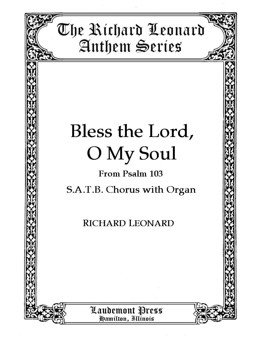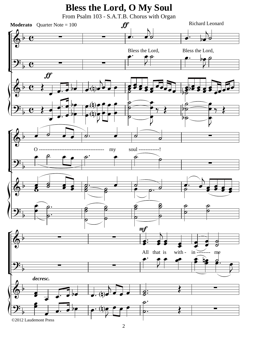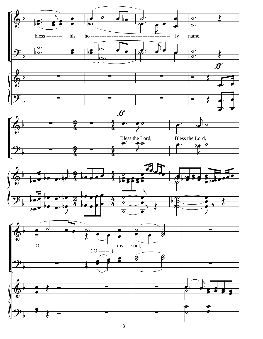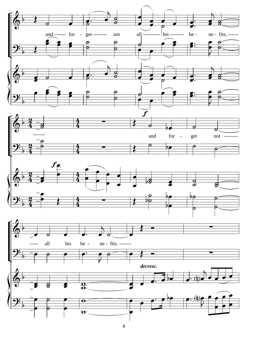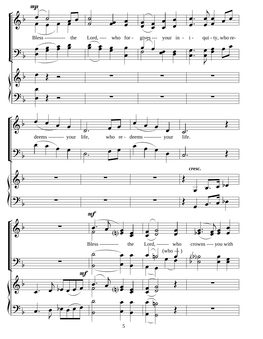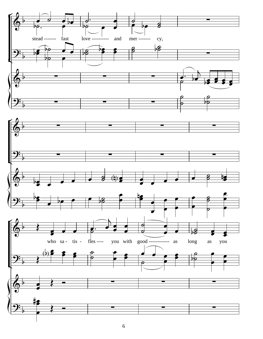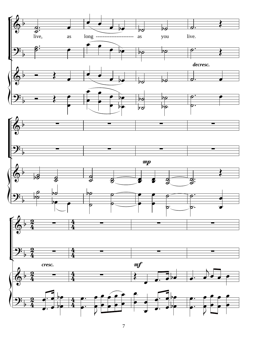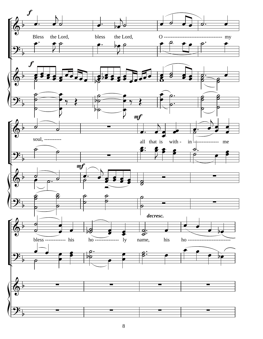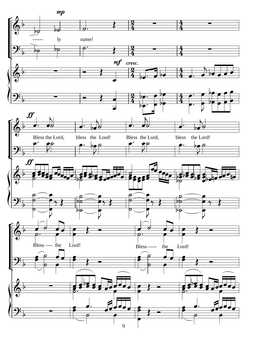